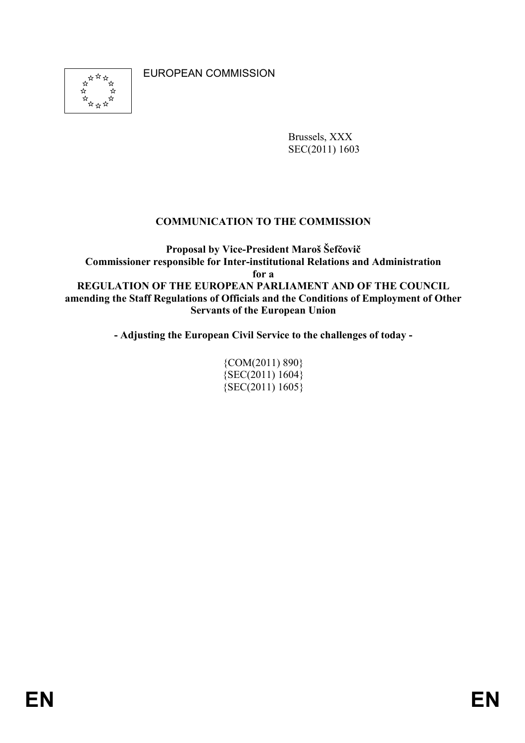EUROPEAN COMMISSION



Brussels, XXX SEC(2011) 1603

### **COMMUNICATION TO THE COMMISSION**

**Proposal by Vice-President Maroš Šefčovič Commissioner responsible for Inter-institutional Relations and Administration for a REGULATION OF THE EUROPEAN PARLIAMENT AND OF THE COUNCIL amending the Staff Regulations of Officials and the Conditions of Employment of Other Servants of the European Union** 

**- Adjusting the European Civil Service to the challenges of today -** 

{COM(2011) 890} {SEC(2011) 1604}  ${SEC(2011) 1605}$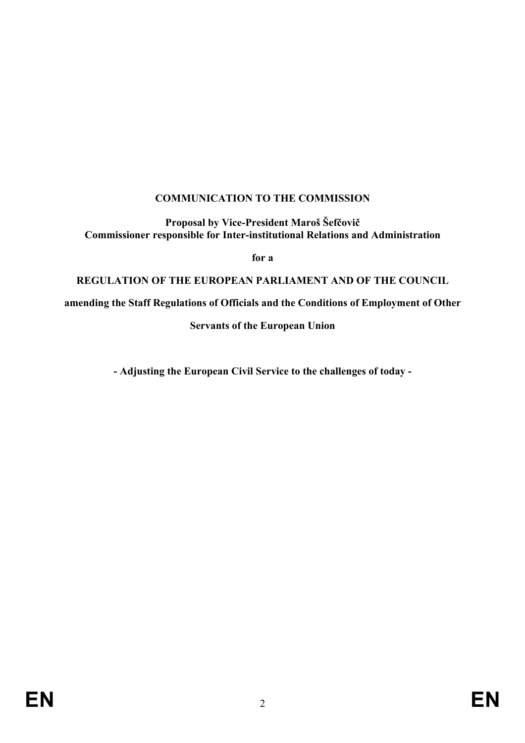# **COMMUNICATION TO THE COMMISSION**

**Proposal by Vice-President Maroš Šefčovič Commissioner responsible for Inter-institutional Relations and Administration**

**for a** 

**REGULATION OF THE EUROPEAN PARLIAMENT AND OF THE COUNCIL** 

**amending the Staff Regulations of Officials and the Conditions of Employment of Other** 

**Servants of the European Union** 

**- Adjusting the European Civil Service to the challenges of today -**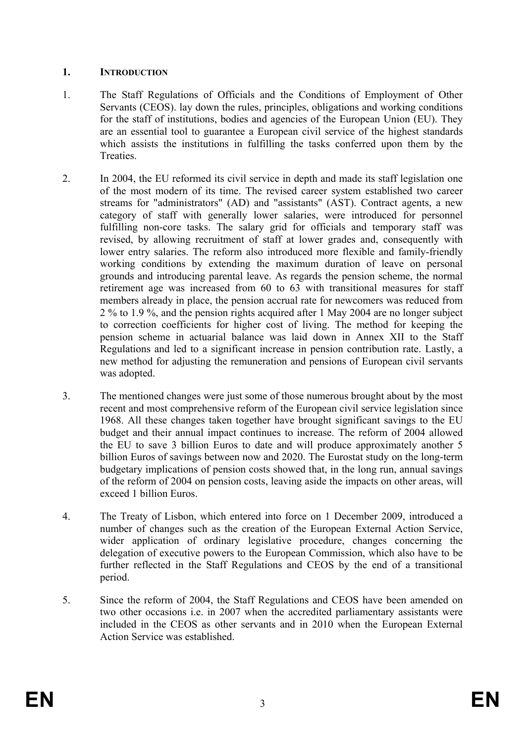### **1. INTRODUCTION**

- 1. The Staff Regulations of Officials and the Conditions of Employment of Other Servants (CEOS). lay down the rules, principles, obligations and working conditions for the staff of institutions, bodies and agencies of the European Union (EU). They are an essential tool to guarantee a European civil service of the highest standards which assists the institutions in fulfilling the tasks conferred upon them by the **Treaties**
- 2. In 2004, the EU reformed its civil service in depth and made its staff legislation one of the most modern of its time. The revised career system established two career streams for "administrators" (AD) and "assistants" (AST). Contract agents, a new category of staff with generally lower salaries, were introduced for personnel fulfilling non-core tasks. The salary grid for officials and temporary staff was revised, by allowing recruitment of staff at lower grades and, consequently with lower entry salaries. The reform also introduced more flexible and family-friendly working conditions by extending the maximum duration of leave on personal grounds and introducing parental leave. As regards the pension scheme, the normal retirement age was increased from 60 to 63 with transitional measures for staff members already in place, the pension accrual rate for newcomers was reduced from 2 % to 1.9 %, and the pension rights acquired after 1 May 2004 are no longer subject to correction coefficients for higher cost of living. The method for keeping the pension scheme in actuarial balance was laid down in Annex XII to the Staff Regulations and led to a significant increase in pension contribution rate. Lastly, a new method for adjusting the remuneration and pensions of European civil servants was adopted.
- 3. The mentioned changes were just some of those numerous brought about by the most recent and most comprehensive reform of the European civil service legislation since 1968. All these changes taken together have brought significant savings to the EU budget and their annual impact continues to increase. The reform of 2004 allowed the EU to save 3 billion Euros to date and will produce approximately another 5 billion Euros of savings between now and 2020. The Eurostat study on the long-term budgetary implications of pension costs showed that, in the long run, annual savings of the reform of 2004 on pension costs, leaving aside the impacts on other areas, will exceed 1 billion Euros.
- 4. The Treaty of Lisbon, which entered into force on 1 December 2009, introduced a number of changes such as the creation of the European External Action Service, wider application of ordinary legislative procedure, changes concerning the delegation of executive powers to the European Commission, which also have to be further reflected in the Staff Regulations and CEOS by the end of a transitional period.
- 5. Since the reform of 2004, the Staff Regulations and CEOS have been amended on two other occasions i.e. in 2007 when the accredited parliamentary assistants were included in the CEOS as other servants and in 2010 when the European External Action Service was established.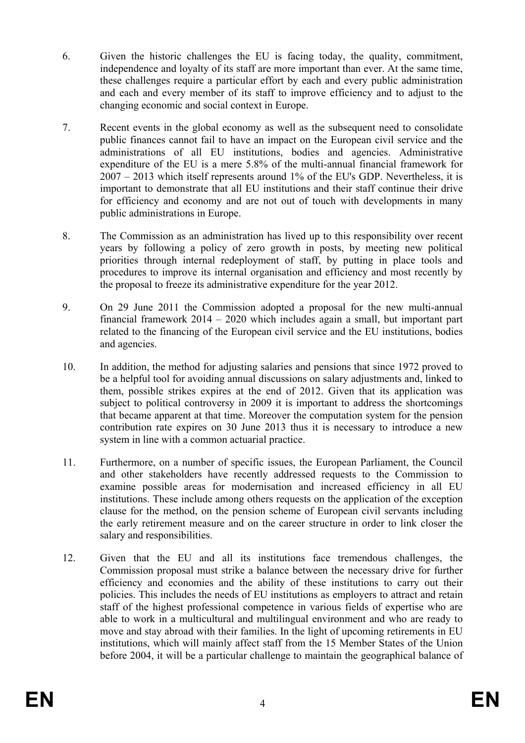- 6. Given the historic challenges the EU is facing today, the quality, commitment, independence and loyalty of its staff are more important than ever. At the same time, these challenges require a particular effort by each and every public administration and each and every member of its staff to improve efficiency and to adjust to the changing economic and social context in Europe.
- 7. Recent events in the global economy as well as the subsequent need to consolidate public finances cannot fail to have an impact on the European civil service and the administrations of all EU institutions, bodies and agencies. Administrative expenditure of the EU is a mere 5.8% of the multi-annual financial framework for 2007 – 2013 which itself represents around 1% of the EU's GDP. Nevertheless, it is important to demonstrate that all EU institutions and their staff continue their drive for efficiency and economy and are not out of touch with developments in many public administrations in Europe.
- 8. The Commission as an administration has lived up to this responsibility over recent years by following a policy of zero growth in posts, by meeting new political priorities through internal redeployment of staff, by putting in place tools and procedures to improve its internal organisation and efficiency and most recently by the proposal to freeze its administrative expenditure for the year 2012.
- 9. On 29 June 2011 the Commission adopted a proposal for the new multi-annual financial framework 2014 – 2020 which includes again a small, but important part related to the financing of the European civil service and the EU institutions, bodies and agencies.
- 10. In addition, the method for adjusting salaries and pensions that since 1972 proved to be a helpful tool for avoiding annual discussions on salary adjustments and, linked to them, possible strikes expires at the end of 2012. Given that its application was subject to political controversy in 2009 it is important to address the shortcomings that became apparent at that time. Moreover the computation system for the pension contribution rate expires on 30 June 2013 thus it is necessary to introduce a new system in line with a common actuarial practice.
- 11. Furthermore, on a number of specific issues, the European Parliament, the Council and other stakeholders have recently addressed requests to the Commission to examine possible areas for modernisation and increased efficiency in all EU institutions. These include among others requests on the application of the exception clause for the method, on the pension scheme of European civil servants including the early retirement measure and on the career structure in order to link closer the salary and responsibilities.
- 12. Given that the EU and all its institutions face tremendous challenges, the Commission proposal must strike a balance between the necessary drive for further efficiency and economies and the ability of these institutions to carry out their policies. This includes the needs of EU institutions as employers to attract and retain staff of the highest professional competence in various fields of expertise who are able to work in a multicultural and multilingual environment and who are ready to move and stay abroad with their families. In the light of upcoming retirements in EU institutions, which will mainly affect staff from the 15 Member States of the Union before 2004, it will be a particular challenge to maintain the geographical balance of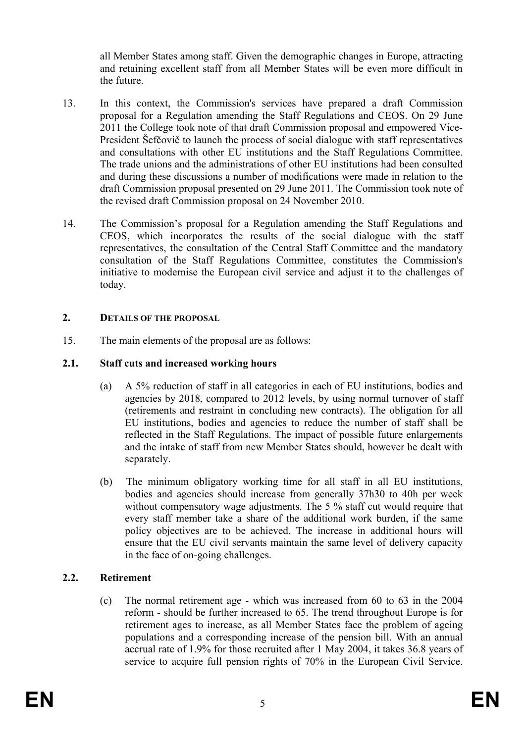all Member States among staff. Given the demographic changes in Europe, attracting and retaining excellent staff from all Member States will be even more difficult in the future.

- 13. In this context, the Commission's services have prepared a draft Commission proposal for a Regulation amending the Staff Regulations and CEOS. On 29 June 2011 the College took note of that draft Commission proposal and empowered Vice-President Šefčovič to launch the process of social dialogue with staff representatives and consultations with other EU institutions and the Staff Regulations Committee. The trade unions and the administrations of other EU institutions had been consulted and during these discussions a number of modifications were made in relation to the draft Commission proposal presented on 29 June 2011. The Commission took note of the revised draft Commission proposal on 24 November 2010.
- 14. The Commission's proposal for a Regulation amending the Staff Regulations and CEOS, which incorporates the results of the social dialogue with the staff representatives, the consultation of the Central Staff Committee and the mandatory consultation of the Staff Regulations Committee, constitutes the Commission's initiative to modernise the European civil service and adjust it to the challenges of today.

#### **2. DETAILS OF THE PROPOSAL**

15. The main elements of the proposal are as follows:

### **2.1. Staff cuts and increased working hours**

- (a) A 5% reduction of staff in all categories in each of EU institutions, bodies and agencies by 2018, compared to 2012 levels, by using normal turnover of staff (retirements and restraint in concluding new contracts). The obligation for all EU institutions, bodies and agencies to reduce the number of staff shall be reflected in the Staff Regulations. The impact of possible future enlargements and the intake of staff from new Member States should, however be dealt with separately.
- (b) The minimum obligatory working time for all staff in all EU institutions, bodies and agencies should increase from generally 37h30 to 40h per week without compensatory wage adjustments. The 5 % staff cut would require that every staff member take a share of the additional work burden, if the same policy objectives are to be achieved. The increase in additional hours will ensure that the EU civil servants maintain the same level of delivery capacity in the face of on-going challenges.

### **2.2. Retirement**

(c) The normal retirement age - which was increased from 60 to 63 in the 2004 reform - should be further increased to 65. The trend throughout Europe is for retirement ages to increase, as all Member States face the problem of ageing populations and a corresponding increase of the pension bill. With an annual accrual rate of 1.9% for those recruited after 1 May 2004, it takes 36.8 years of service to acquire full pension rights of 70% in the European Civil Service.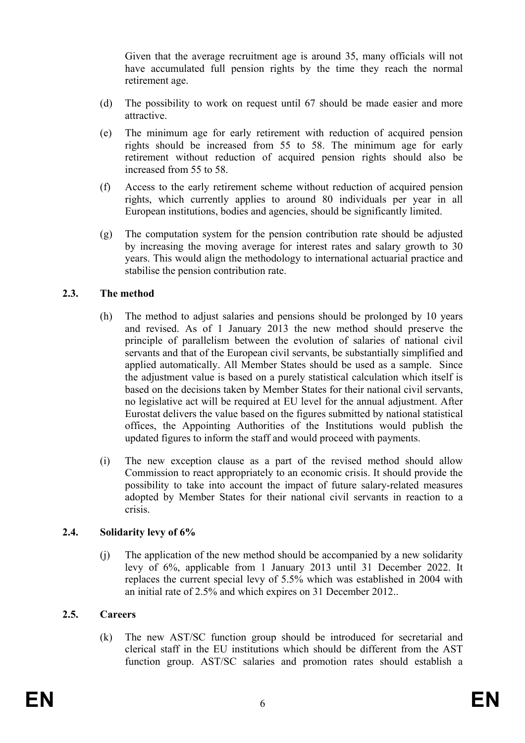Given that the average recruitment age is around 35, many officials will not have accumulated full pension rights by the time they reach the normal retirement age.

- (d) The possibility to work on request until 67 should be made easier and more attractive.
- (e) The minimum age for early retirement with reduction of acquired pension rights should be increased from 55 to 58. The minimum age for early retirement without reduction of acquired pension rights should also be increased from 55 to 58.
- (f) Access to the early retirement scheme without reduction of acquired pension rights, which currently applies to around 80 individuals per year in all European institutions, bodies and agencies, should be significantly limited.
- (g) The computation system for the pension contribution rate should be adjusted by increasing the moving average for interest rates and salary growth to 30 years. This would align the methodology to international actuarial practice and stabilise the pension contribution rate.

#### **2.3. The method**

- (h) The method to adjust salaries and pensions should be prolonged by 10 years and revised. As of 1 January 2013 the new method should preserve the principle of parallelism between the evolution of salaries of national civil servants and that of the European civil servants, be substantially simplified and applied automatically. All Member States should be used as a sample. Since the adjustment value is based on a purely statistical calculation which itself is based on the decisions taken by Member States for their national civil servants, no legislative act will be required at EU level for the annual adjustment. After Eurostat delivers the value based on the figures submitted by national statistical offices, the Appointing Authorities of the Institutions would publish the updated figures to inform the staff and would proceed with payments.
- (i) The new exception clause as a part of the revised method should allow Commission to react appropriately to an economic crisis. It should provide the possibility to take into account the impact of future salary-related measures adopted by Member States for their national civil servants in reaction to a crisis.

#### **2.4. Solidarity levy of 6%**

(j) The application of the new method should be accompanied by a new solidarity levy of 6%, applicable from 1 January 2013 until 31 December 2022. It replaces the current special levy of 5.5% which was established in 2004 with an initial rate of 2.5% and which expires on 31 December 2012..

### **2.5. Careers**

(k) The new AST/SC function group should be introduced for secretarial and clerical staff in the EU institutions which should be different from the AST function group. AST/SC salaries and promotion rates should establish a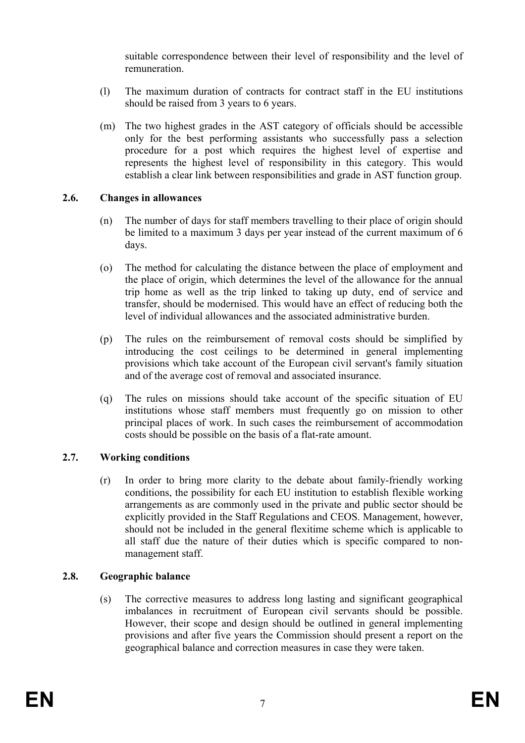suitable correspondence between their level of responsibility and the level of remuneration.

- (l) The maximum duration of contracts for contract staff in the EU institutions should be raised from 3 years to 6 years.
- (m) The two highest grades in the AST category of officials should be accessible only for the best performing assistants who successfully pass a selection procedure for a post which requires the highest level of expertise and represents the highest level of responsibility in this category. This would establish a clear link between responsibilities and grade in AST function group.

### **2.6. Changes in allowances**

- (n) The number of days for staff members travelling to their place of origin should be limited to a maximum 3 days per year instead of the current maximum of 6 days.
- (o) The method for calculating the distance between the place of employment and the place of origin, which determines the level of the allowance for the annual trip home as well as the trip linked to taking up duty, end of service and transfer, should be modernised. This would have an effect of reducing both the level of individual allowances and the associated administrative burden.
- (p) The rules on the reimbursement of removal costs should be simplified by introducing the cost ceilings to be determined in general implementing provisions which take account of the European civil servant's family situation and of the average cost of removal and associated insurance.
- (q) The rules on missions should take account of the specific situation of EU institutions whose staff members must frequently go on mission to other principal places of work. In such cases the reimbursement of accommodation costs should be possible on the basis of a flat-rate amount.

## **2.7. Working conditions**

(r) In order to bring more clarity to the debate about family-friendly working conditions, the possibility for each EU institution to establish flexible working arrangements as are commonly used in the private and public sector should be explicitly provided in the Staff Regulations and CEOS. Management, however, should not be included in the general flexitime scheme which is applicable to all staff due the nature of their duties which is specific compared to nonmanagement staff.

### **2.8. Geographic balance**

(s) The corrective measures to address long lasting and significant geographical imbalances in recruitment of European civil servants should be possible. However, their scope and design should be outlined in general implementing provisions and after five years the Commission should present a report on the geographical balance and correction measures in case they were taken.